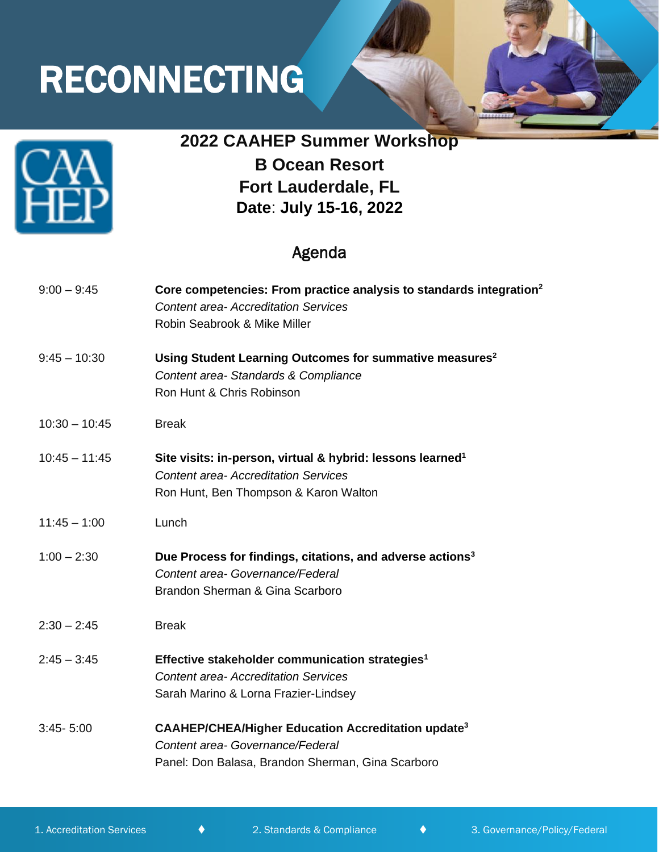# RECONNECTING



## **2022 CAAHEP Summer Workshop**

**B Ocean Resort Fort Lauderdale, FL Date**: **July 15-16, 2022**

### Agenda

| $9:00 - 9:45$   | Core competencies: From practice analysis to standards integration <sup>2</sup><br><b>Content area-Accreditation Services</b><br>Robin Seabrook & Mike Miller  |
|-----------------|----------------------------------------------------------------------------------------------------------------------------------------------------------------|
| $9:45 - 10:30$  | Using Student Learning Outcomes for summative measures <sup>2</sup><br>Content area-Standards & Compliance<br>Ron Hunt & Chris Robinson                        |
| $10:30 - 10:45$ | <b>Break</b>                                                                                                                                                   |
| $10:45 - 11:45$ | Site visits: in-person, virtual & hybrid: lessons learned <sup>1</sup><br><b>Content area- Accreditation Services</b><br>Ron Hunt, Ben Thompson & Karon Walton |
| $11:45 - 1:00$  | Lunch                                                                                                                                                          |
| $1:00 - 2:30$   | Due Process for findings, citations, and adverse actions <sup>3</sup><br>Content area- Governance/Federal<br>Brandon Sherman & Gina Scarboro                   |
| $2:30 - 2:45$   | <b>Break</b>                                                                                                                                                   |
| $2:45 - 3:45$   | Effective stakeholder communication strategies <sup>1</sup><br><b>Content area-Accreditation Services</b><br>Sarah Marino & Lorna Frazier-Lindsey              |
| $3:45 - 5:00$   | <b>CAAHEP/CHEA/Higher Education Accreditation update<sup>3</sup></b><br>Content area- Governance/Federal<br>Panel: Don Balasa, Brandon Sherman, Gina Scarboro  |